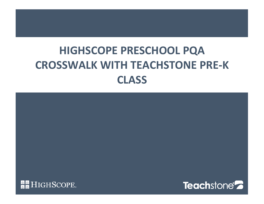# **HIGHSCOPE PRESCHOOL PQA CROSSWALK WITH TEACHSTONE PRE-K CLASS**

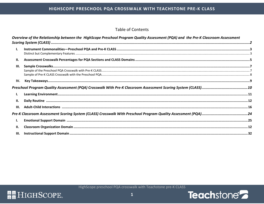### **Table of Contents**

|      | Overview of the Relationship between the HighScope Preschool Program Quality Assessment (PQA) and the Pre-K Classroom Assessment |  |
|------|----------------------------------------------------------------------------------------------------------------------------------|--|
| Ι.   |                                                                                                                                  |  |
| П.   |                                                                                                                                  |  |
| III. |                                                                                                                                  |  |
| IV.  |                                                                                                                                  |  |
|      |                                                                                                                                  |  |
| L.   |                                                                                                                                  |  |
| П.   |                                                                                                                                  |  |
| III. |                                                                                                                                  |  |
|      |                                                                                                                                  |  |
| I.   |                                                                                                                                  |  |
| II.  |                                                                                                                                  |  |
| III. |                                                                                                                                  |  |

HighScope preschool PQA crosswalk with Teachstone pre-K CLASS

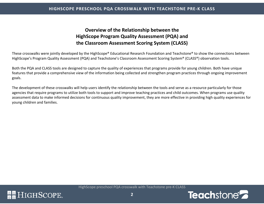#### **HIGHSCOPE PRESCHOOL PQA CROSSWALK WITH TEACHSTONE PRE-K CLASS**

### <span id="page-2-0"></span>**[Overview of the Relationship b](#page-16-0)etween the HighScope Program Quality Assessment (PQA) and the Classroom Assessment Scoring System (CLASS)**

These crosswalks were jointly developed by the HighScope® Educational Research Foundation and Teachstone® to show the connections between HighScope's Program Quality Assessment (PQA) and Teachstone's Classroom Assessment Scoring System® (CLASS®) observation tools.

Both the PQA and CLASS tools are designed to capture the quality of experiences that programs provide for young children. Both have unique features that provide a comprehensive view of the information being collected and strengthen program practices through ongoing improvement goals.

The development of these crosswalks will help users identify the relationship between the tools and serve as a resource particularly for those agencies that require programs to utilize both tools to support and improve teaching practices and child outcomes. When programs use quality assessment data to make informed decisions for continuous quality improvement, they are more effective in providing high quality experiences for young children and families.



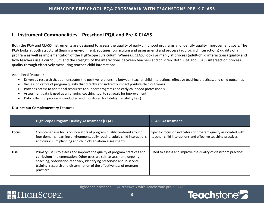### <span id="page-3-0"></span>**I. Instrument Commonalities—Preschool PQA and Pre-K CLASS**

Both the PQA and CLASS instruments are designed to assess the quality of early childhood programs and identify quality improvement goals. The PQA looks at both structural (learning environment, routines, curriculum and assessment) and process (adult-child interactions) quality of a program as well as implementation of the HighScope curriculum. Whereas, CLASS looks primarily at process (adult-child interactions) quality and how teachers use a curriculum and the strength of the interactions between teachers and children. Both PQA and CLASS intersect on process quality through effectively measuring teacher-child interactions.

#### Additional features:

- Driven by research that demonstrates the positive relationship between teacher-child interactions, effective teaching practices, and child outcomes
- Values indicators of program quality that directly and indirectly impact positive child outcomes
- Provides access to additional resources to support programs and early childhood professionals
- Assessment data is used as an ongoing coaching tool to set goals for improvement
- <span id="page-3-1"></span>• Data collection process is conducted and monitored for fidelity (reliability test)

#### **Distinct but Complementary Features**

|              | <b>HighScope Program Quality Assessment (PQA)</b>                                                                                                                                                                                                                                                               | <b>CLASS Assessment</b>                                                                                                         |
|--------------|-----------------------------------------------------------------------------------------------------------------------------------------------------------------------------------------------------------------------------------------------------------------------------------------------------------------|---------------------------------------------------------------------------------------------------------------------------------|
| <b>Focus</b> | Comprehensive focus on indicators of program quality centered around<br>four domains (learning environment, daily routine, adult-child interactions<br>and curriculum planning and child observation/assessment).                                                                                               | Specific focus on indicators of program quality associated with<br>teacher-child interactions and effective teaching practices. |
| <b>Use</b>   | Primary use is to assess and improve the quality of program practices and<br>curriculum implementation. Other uses are self- assessment, ongoing<br>coaching, observation-feedback, identifying preservice and in-service<br>training, research and dissemination of the effectiveness of program<br>practices. | Used to assess and improve the quality of classroom practices                                                                   |

HighScope preschool PQA crosswalk with Teachstone pre-K CLASS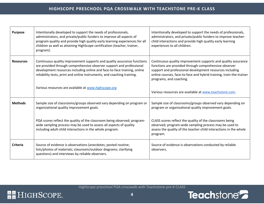| <b>Purpose</b>                                                                                                                                                                                                                                                                                                             | Intentionally developed to support the needs of professionals,<br>administrators, and private/public funders to improve all aspects of<br>program quality and provide high quality early learning experiences for all<br>children as well as attaining HighScope certification (teacher, trainer,<br>program). | Intentionally developed to support the needs of professionals,<br>administrators, and private/public funders to improve teacher-<br>child interactions and provide high quality early learning<br>experiences to all children.                                                       |
|----------------------------------------------------------------------------------------------------------------------------------------------------------------------------------------------------------------------------------------------------------------------------------------------------------------------------|----------------------------------------------------------------------------------------------------------------------------------------------------------------------------------------------------------------------------------------------------------------------------------------------------------------|--------------------------------------------------------------------------------------------------------------------------------------------------------------------------------------------------------------------------------------------------------------------------------------|
| Continuous quality improvement supports and quality assurance functions<br><b>Resources</b><br>are provided through comprehensive observer support and professional<br>development resources including online and face-to-face training, online<br>reliability tests, print and online instruments, and coaching training. |                                                                                                                                                                                                                                                                                                                | Continuous quality improvement supports and quality assurance<br>functions are provided through comprehensive observer<br>support and professional development resources including<br>online courses, face-to-face and hybrid training, train-the-trainer<br>programs, and coaching. |
|                                                                                                                                                                                                                                                                                                                            | Various resources are available at www.highscope.org                                                                                                                                                                                                                                                           | Various resources are available at www.teachstone.com.                                                                                                                                                                                                                               |
| <b>Methods</b>                                                                                                                                                                                                                                                                                                             | Sample size of classrooms/groups observed vary depending on program or<br>organizational quality improvement goals.                                                                                                                                                                                            | Sample size of classrooms/groups observed vary depending on<br>program or organizational quality improvement goals.                                                                                                                                                                  |
|                                                                                                                                                                                                                                                                                                                            | PQA scores reflect the quality of the classroom being observed; program-<br>wide sampling process may be used to assess all aspects of quality<br>including adult-child interactions in the whole program.                                                                                                     | CLASS scores reflect the quality of the classrooms being<br>observed; program-wide sampling process may be used to<br>assess the quality of the teacher-child interactions in the whole<br>program.                                                                                  |
| Criteria                                                                                                                                                                                                                                                                                                                   | Source of evidence is observations (anecdotes; posted routine;<br>lists/photos of materials; classroom/outdoor diagrams; clarifying<br>questions) and interviews by reliable observers.                                                                                                                        | Source of evidence is observations conducted by reliable<br>observers.                                                                                                                                                                                                               |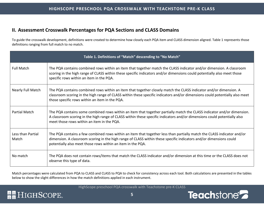### **II. Assessment Crosswalk Percentages for PQA Sections and CLASS Domains**

To guide the crosswalk development, definitions were created to determine how closely each PQA item and CLASS dimension aligned. Table 1 represents those definitions ranging from full match to no match.

| Table 1. Definitions of "Match" descending to "No Match" |                                                                                                                                                                                                                                                                                                             |  |  |
|----------------------------------------------------------|-------------------------------------------------------------------------------------------------------------------------------------------------------------------------------------------------------------------------------------------------------------------------------------------------------------|--|--|
| <b>Full Match</b>                                        | The PQA contains combined rows within an item that together match the CLASS indicator and/or dimension. A classroom<br>scoring in the high range of CLASS within these specific indicators and/or dimensions could potentially also meet those<br>specific rows within an item in the PQA.                  |  |  |
| Nearly Full Match                                        | The PQA contains combined rows within an item that together closely match the CLASS indicator and/or dimension. A<br>classroom scoring in the high range of CLASS within these specific indicators and/or dimensions could potentially also meet<br>those specific rows within an item in the PQA.          |  |  |
| <b>Partial Match</b>                                     | The PQA contains some combined rows within an item that together partially match the CLASS indicator and/or dimension.<br>A classroom scoring in the high range of CLASS within these specific indicators and/or dimensions could potentially also<br>meet those rows within an item in the PQA.            |  |  |
| Less than Partial<br>Match                               | The PQA contains a few combined rows within an item that together less than partially match the CLASS indicator and/or<br>dimension. A classroom scoring in the high range of CLASS within these specific indicators and/or dimensions could<br>potentially also meet those rows within an item in the PQA. |  |  |
| No match                                                 | The PQA does not contain rows/items that match the CLASS indicator and/or dimension at this time or the CLASS does not<br>observe this type of data.                                                                                                                                                        |  |  |

Match percentages were calculated from PQA to CLASS and CLASS to PQA to check for consistency across each tool. Both calculations are presented in the tables below to show the slight differences in how the match definitions applied in each instrument.

HighScope preschool PQA crosswalk with Teachstone pre-K CLASS

<span id="page-5-0"></span>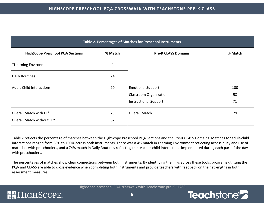| Table 2. Percentages of Matches for Preschool Instruments |          |                                                                                           |                 |
|-----------------------------------------------------------|----------|-------------------------------------------------------------------------------------------|-----------------|
| <b>HighScope Preschool PQA Sections</b>                   | % Match  | <b>Pre-K CLASS Domains</b>                                                                | % Match         |
| *Learning Environment                                     | 4        |                                                                                           |                 |
| Daily Routines                                            | 74       |                                                                                           |                 |
| <b>Adult-Child Interactions</b>                           | 90       | <b>Emotional Support</b><br><b>Classroom Organization</b><br><b>Instructional Support</b> | 100<br>58<br>71 |
| Overall Match with LE*<br>Overall Match without LE*       | 78<br>82 | Overall Match                                                                             | 79              |

Table 2 reflects the percentage of matches between the HighScope Preschool PQA Sections and the Pre-K CLASS Domains. Matches for adult-child interactions ranged from 58% to 100% across both instruments. There was a 4% match in Learning Environment reflecting accessibility and use of materials with preschoolers, and a 74% match in Daily Routines reflecting the teacher-child interactions implemented during each part of the day with preschoolers.

The percentages of matches show clear connections between both instruments. By identifying the links across these tools, programs utilizing the PQA and CLASS are able to cross evidence when completing both instruments and provide teachers with feedback on their strengths in both assessment measures.

HighScope preschool PQA crosswalk with Teachstone pre-K CLASS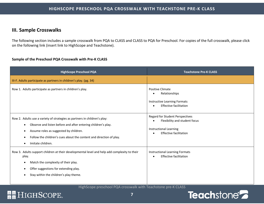### <span id="page-7-0"></span>**III. Sample Crosswalks**

**RE** HIGHSCOPE.

The following section includes a sample crosswalk from PQA to CLASS and CLASS to PQA for Preschool. For copies of the full crosswalk, please click on the following link (insert link to HighScope and Teachstone).

#### <span id="page-7-1"></span>**Sample of the Preschool PQA Crosswalk with Pre-K CLASS**

| <b>HighScope Preschool PQA</b>                                                                                                                                                                                                                                                   | <b>Teachstone Pre-K CLASS</b>                                                                                        |
|----------------------------------------------------------------------------------------------------------------------------------------------------------------------------------------------------------------------------------------------------------------------------------|----------------------------------------------------------------------------------------------------------------------|
| III-F. Adults participate as partners in children's play. (pg. 34)                                                                                                                                                                                                               |                                                                                                                      |
| Row 1. Adults participate as partners in children's play.                                                                                                                                                                                                                        | Positive Climate<br>Relationships<br>Instructive Learning Formats<br>Effective facilitation<br>$\bullet$             |
| Row 2. Adults use a variety of strategies as partners in children's play:<br>Observe and listen before and after entering children's play.<br>Assume roles as suggested by children.<br>Follow the children's cues about the content and direction of play.<br>Imitate children. | Regard for Student Perspectives<br>Flexibility and student focus<br>Instructional Learning<br>Effective facilitation |
| Row 3. Adults support children at their developmental level and help add complexity to their<br>play.<br>Match the complexity of their play.<br>Offer suggestions for extending play.<br>Stay within the children's play theme.                                                  | Instructional Learning Formats<br><b>Effective facilitation</b><br>$\bullet$                                         |

HighScope preschool PQA crosswalk with Teachstone pre-K CLASS

**7**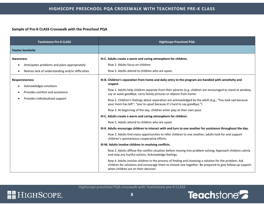#### <span id="page-8-0"></span>**Sample of Pre-K CLASS Crosswalk with the Preschool PQA**

| <b>Teachstone Pre-K CLASS</b>                                                                                         | <b>HighScope Preschool PQA</b>                                                                                                                                                                                                                                                                                                                                                                                                                                                                                                                                                                                                                                                                                                                                                                                                                                                                                                                                                                                                                                                                                                                                                                                                                                                                                                                                                                                 |
|-----------------------------------------------------------------------------------------------------------------------|----------------------------------------------------------------------------------------------------------------------------------------------------------------------------------------------------------------------------------------------------------------------------------------------------------------------------------------------------------------------------------------------------------------------------------------------------------------------------------------------------------------------------------------------------------------------------------------------------------------------------------------------------------------------------------------------------------------------------------------------------------------------------------------------------------------------------------------------------------------------------------------------------------------------------------------------------------------------------------------------------------------------------------------------------------------------------------------------------------------------------------------------------------------------------------------------------------------------------------------------------------------------------------------------------------------------------------------------------------------------------------------------------------------|
| <b>Teacher Sensitivity</b>                                                                                            |                                                                                                                                                                                                                                                                                                                                                                                                                                                                                                                                                                                                                                                                                                                                                                                                                                                                                                                                                                                                                                                                                                                                                                                                                                                                                                                                                                                                                |
| <b>Awareness</b><br>Anticipates problems and plans appropriately<br>Notices lack of understanding and/or difficulties | III-C. Adults create a warm and caring atmosphere for children.<br>Row 2. Adults focus on children<br>Row 5. Adults attend to children who are upset.                                                                                                                                                                                                                                                                                                                                                                                                                                                                                                                                                                                                                                                                                                                                                                                                                                                                                                                                                                                                                                                                                                                                                                                                                                                          |
| <b>Responsiveness</b><br>Acknowledges emotions<br>Provides comfort and assistance<br>Provides individualized support  | III-B. Children's separation from home and daily entry to the program are handled with sensitivity and<br>respect.<br>Row 1. Adults help children separate from their parents (e.g. children are encouraged to stand at window,<br>say or wave goodbye, carry family pictures or objects from home.<br>Row 2. Children's feelings about separation are acknowledged by the adult (e.g., "You look sad because<br>your mom has left"; "you're upset because it's hard to say goodbye.")<br>Row 3. At beginning of the day, children enter play at their own pace.<br>III-C. Adults create a warm and caring atmosphere for children.<br>Row 5. Adults attend to children who are upset.<br>III-K. Adults encourage children to interact with and turn to one another for assistance throughout the day.<br>Row 2. Adults find many opportunities to refer children to one another; adults look for and support<br>children's spontaneous cooperative efforts.<br>III-M. Adults involve children in resolving conflicts.<br>Row 2. Adults diffuse the conflict situation before moving into problem solving; Approach children calmly<br>and stop any hurtful actions. Acknowledge feelings.<br>Row 4. Adults involve children in the process of finding and choosing a solution for the problem: Ask<br>children for solutions and encourage them to choose one together. Be prepared to give follow-up support |

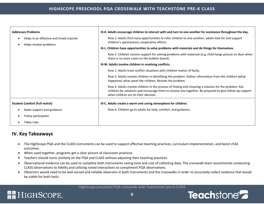| <b>Addresses Problems</b>                                         | III-K. Adults encourage children to interact with and turn to one another for assistance throughout the day.                                                                                                                                             |  |
|-------------------------------------------------------------------|----------------------------------------------------------------------------------------------------------------------------------------------------------------------------------------------------------------------------------------------------------|--|
| Helps in an effective and timely manner<br>Helps resolve problems | Row 2. Adults find many opportunities to refer children to one another; adults look for and support<br>children's spontaneous cooperative efforts.                                                                                                       |  |
|                                                                   | III-L. Children have opportunities to solve problems with materials and do things for themselves.                                                                                                                                                        |  |
|                                                                   | Row 2. Children receive support for solving problems with materials (e.g, child hangs picture on door when<br>there is no more room on the bulletin board).                                                                                              |  |
|                                                                   | III-M. Adults involve children in resolving conflicts.                                                                                                                                                                                                   |  |
|                                                                   | Row 1. Adults treat conflict situations with children matter of factly.                                                                                                                                                                                  |  |
|                                                                   | Row 3. Adults involve children in identifying the problem: Gather information from the children (what<br>happened, what upset the children. Restate the problem.                                                                                         |  |
|                                                                   | Row 4. Adults involve children in the process of finding and choosing a solution for the problem: Ask<br>children for solutions and encourage them to choose one together. Be prepared to give follow-up support<br>when children act on their decision. |  |
| <b>Student Comfort (Full match)</b>                               | III-C. Adults create a warm and caring atmosphere for children.                                                                                                                                                                                          |  |
| Seeks support and guidance                                        | Row 6. Children go to adults for help, comfort, and guidance.                                                                                                                                                                                            |  |
| Freely participates                                               |                                                                                                                                                                                                                                                          |  |
| Takes risks                                                       |                                                                                                                                                                                                                                                          |  |

### **IV. Key Takeaways**

**RE** HIGHSCOPE.

- <span id="page-9-0"></span>• The HighScope PQA and the CLASS instruments can be used to support effective teaching practices, curriculum implementation, and boost child outcomes.
- When used together, programs get a clear picture of classroom practices.
- Teachers should score similarly on the PQA and CLASS without adjusting their teaching practices.
- Observational evidence can be used to complete both instruments saving time and cost of collecting data. The crosswalk team recommends conducting CLASS observations to fidelity and utilizing noted interactions to compliment PQA observations.
- Observers would need to be well versed and reliable observers in both instruments and the crosswalks in order to accurately collect evidence that would be viable for both tools.

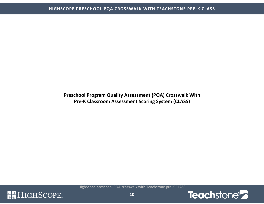**Preschool Program Quality Assessment (PQA) Crosswalk With Pre-K Classroom Assessment Scoring System (CLASS)** 



<span id="page-10-0"></span>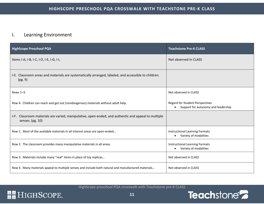### <span id="page-11-0"></span>I. Learning Environment

| <b>HighScope Preschool PQA</b>                                                                                          | <b>Teachstone Pre-K CLASS</b>                                                 |
|-------------------------------------------------------------------------------------------------------------------------|-------------------------------------------------------------------------------|
| Items I-A, I-B, I-C, I-D, I-E, I-G, I-I,                                                                                | Not observed in CLASS                                                         |
| I-E. Classroom areas and materials are systematically arranged, labeled, and accessible to children.<br>(pg. 9)         |                                                                               |
| Rows 1-3.                                                                                                               | Not observed in CLASS                                                         |
| Row 4. Children can reach and get out (nondangerous) materials without adult help.                                      | <b>Regard for Student Perspectives</b><br>Support for autonomy and leadership |
| I-F. Classroom materials are varied, manipulative, open-ended, and authentic and appeal to multiple<br>senses. (pg. 10) |                                                                               |
| Row 1. Most of the available materials in all interest areas are open-ended                                             | Instructional Learning Formats<br>Variety of modalities<br>$\bullet$          |
| Row 2. The classroom provides many manipulative materials in all areas.                                                 | Instructional Learning Formats<br>Variety of modalities<br>$\bullet$          |
| Row 3. Materials include many "real" items in place of toy replicas                                                     | Not observed in CLASS                                                         |
| Row 4. Many materials appeal to multiple senses and include both natural and manufactured materials                     | Not observed in CLASS                                                         |



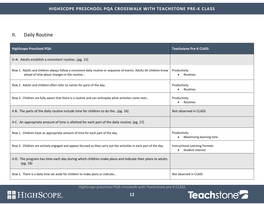### <span id="page-12-0"></span>II. Daily Routine

| <b>HighScope Preschool PQA</b>                                                                                                                                    | <b>Teachstone Pre-K CLASS</b>                             |
|-------------------------------------------------------------------------------------------------------------------------------------------------------------------|-----------------------------------------------------------|
| II-A. Adults establish a consistent routine(pg. 15)                                                                                                               |                                                           |
| Row 1. Adults and children always follow a consistent daily routine or sequence of events. Adults let children know<br>ahead of time about changes in the routine | Productivity<br>Routines                                  |
| Row 2. Adults and children often refer to names for parts of the day.                                                                                             | Productivity<br>Routines                                  |
| Row 3. Children are fully aware that there is a routine and can anticipate what activities come next                                                              | Productivity<br>Routines                                  |
| II-B. The parts of the daily routine include time for children to do the(pg. 16)                                                                                  | Not observed in CLASS                                     |
| II-C. An appropriate amount of time is allotted for each part of the daily routine. (pg. 17)                                                                      |                                                           |
| Row 1. Children have an appropriate amount of time for each part of the day.                                                                                      | Productivity<br>Maximizing learning time                  |
| Row 2. Children are actively engaged and appear focused as they carry out the activities in each part of the day.                                                 | <b>Instructional Learning Formats</b><br>Student interest |
| II-D. The program has time each day during which children make plans and indicate their plans to adults.<br>(pg. 18)                                              |                                                           |
| Row 1. There is a daily time set aside for children to make plans or indicate                                                                                     | Not observed in CLASS                                     |

HighScope preschool PQA crosswalk with Teachstone pre-K CLASS

# **RE** HIGHSCOPE.

**12**

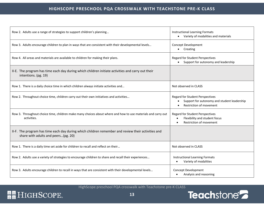| Row 2. Adults use a range of strategies to support children's planning                                                                    | <b>Instructional Learning Formats</b><br>Variety of modalities and materials<br>$\bullet$                             |
|-------------------------------------------------------------------------------------------------------------------------------------------|-----------------------------------------------------------------------------------------------------------------------|
| Row 3. Adults encourage children to plan in ways that are consistent with their developmental levels                                      | <b>Concept Development</b><br>Creating<br>$\bullet$                                                                   |
| Row 4. All areas and materials are available to children for making their plans.                                                          | <b>Regard for Student Perspectives</b><br>Support for autonomy and leadership                                         |
| II-E. The program has time each day during which children initiate activities and carry out their<br>intentions. (pg. 19)                 |                                                                                                                       |
| Row 1. There is a daily choice time in which children always initiate activities and                                                      | Not observed in CLASS                                                                                                 |
| Row 2. Throughout choice time, children carry out their own initiatives and activities                                                    | Regard for Student Perspectives<br>Support for autonomy and student leadership<br>Restriction of movement             |
| Row 3. Throughout choice time, children make many choices about where and how to use materials and carry out<br>activities.               | Regard for Student Perspectives<br>Flexibility and student focus<br>$\bullet$<br>Restriction of movement<br>$\bullet$ |
| II-F. The program has time each day during which children remember and review their activities and<br>share with adults and peers(pg. 20) |                                                                                                                       |
| Row 1. There is a daily time set aside for children to recall and reflect on their                                                        | Not observed in CLASS                                                                                                 |
| Row 2. Adults use a variety of strategies to encourage children to share and recall their experiences                                     | <b>Instructional Learning Formats</b><br>Variety of modalities                                                        |
| Row 3. Adults encourage children to recall in ways that are consistent with their developmental levels                                    | Concept Development<br>Analysis and reasoning                                                                         |

# Teachstone<sup>2</sup>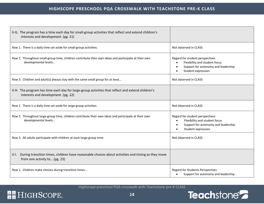| II-G. The program has a time each day for small-group activities that reflect and extend children's<br>interests and development. (pg. 21)   |                                                                                                                                                         |
|----------------------------------------------------------------------------------------------------------------------------------------------|---------------------------------------------------------------------------------------------------------------------------------------------------------|
| Row 1. There is a daily time set aside for small-group activities.                                                                           | Not observed in CLASS                                                                                                                                   |
| Row 2. Throughout small-group time, children contribute their own ideas and participate at their own<br>developmental levels                 | Regard for student perspectives<br>Flexibility and student focus<br>Support for autonomy and leadership<br>Student expression                           |
| Row 3. Children and adult(s) always stay with the same small group for at least                                                              | Not observed in CLASS                                                                                                                                   |
| II-H. The program has time each day for large-group activities that reflect and extend children's<br>interests and development. (pg. 22)     |                                                                                                                                                         |
| Row 1. There is a daily time set aside for large-group activities.                                                                           | Not observed in CLASS                                                                                                                                   |
| Row 2. Throughout large-group time, children contribute their own ideas and participate at their own<br>developmental levels                 | Regard for student perspectives<br>Flexibility and student focus<br>$\bullet$<br>Support for autonomy and leadership<br>$\bullet$<br>Student expression |
| Row 3. All adults participate with children at each large-group time.                                                                        | Not observed in CLASS                                                                                                                                   |
| During transition times, children have reasonable choices about activities and timing as they move<br>II-I.<br>from one activity to (pg. 23) |                                                                                                                                                         |
| Row 1. Children make choices during transition times                                                                                         | <b>Regard for Students Perspectives</b><br>Support for autonomy and leadership                                                                          |

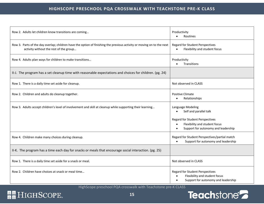#### **HIGHSCOPE PRESCHOOL PQA CROSSWALK WITH TEACHSTONE PRE-K CLASS**

| Row 2. Adults let children know transitions are coming                                                                                                          | Productivity<br>Routines                                                                                                    |
|-----------------------------------------------------------------------------------------------------------------------------------------------------------------|-----------------------------------------------------------------------------------------------------------------------------|
| Row 3. Parts of the day overlap; children have the option of finishing the previous activity or moving on to the next<br>activity without the rest of the group | <b>Regard for Student Perspectives</b><br>Flexibility and student focus                                                     |
| Row 4. Adults plan ways for children to make transitions                                                                                                        | Productivity<br>Transitions                                                                                                 |
| II-J. The program has a set cleanup time with reasonable expectations and choices for children. (pg. 24)                                                        |                                                                                                                             |
| Row 1. There is a daily time set aside for cleanup.                                                                                                             | Not observed in CLASS                                                                                                       |
| Row 2. Children and adults do cleanup together.                                                                                                                 | <b>Positive Climate</b><br>Relationships                                                                                    |
| Row 3. Adults accept children's level of involvement and skill at cleanup while supporting their learning                                                       | Language Modeling<br>Self and parallel talk                                                                                 |
|                                                                                                                                                                 | <b>Regard for Student Perspectives</b><br>Flexibility and student focus<br>$\bullet$<br>Support for autonomy and leadership |
| Row 4. Children make many choices during cleanup.                                                                                                               | Regard for Student Perspectives/partial match<br>Support for autonomy and leadership                                        |
| II-K. The program has a time each day for snacks or meals that encourage social interaction. (pg. 25)                                                           |                                                                                                                             |
| Row 1. There is a daily time set aside for a snack or meal.                                                                                                     | Not observed in CLASS                                                                                                       |
| Row 2. Children have choices at snack or meal time                                                                                                              | <b>Regard for Student Perspectives</b><br>Flexibility and student focus<br>Support for autonomy and leadership              |

HighScope preschool PQA crosswalk with Teachstone pre-K CLASS

# Teachstone<sup>2</sup>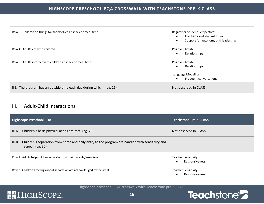| Row 3. Children do things for themselves at snack or meal time      | <b>Regard for Student Perspectives</b><br>Flexibility and student focus<br>Support for autonomy and leadership |
|---------------------------------------------------------------------|----------------------------------------------------------------------------------------------------------------|
| Row 4. Adults eat with children.                                    | <b>Positive Climate</b><br>Relationships<br>$\bullet$                                                          |
| Row 5. Adults interact with children at snack or meal time          | <b>Positive Climate</b><br>Relationships<br>Language Modeling<br>Frequent conversations                        |
| II-L. The program has an outside time each day during which(pg. 26) | Not observed in CLASS                                                                                          |

### <span id="page-16-0"></span>III. Adult-Child Interactions

| <b>HighScope Preschool PQA</b> |                                                                                                                      | <b>Teachstone Pre-K CLASS</b>                |
|--------------------------------|----------------------------------------------------------------------------------------------------------------------|----------------------------------------------|
| III-A.                         | Children's basic physical needs are met. (pg. 28)                                                                    | Not observed in CLASS                        |
| $III-B.$                       | Children's separation from home and daily entry to the program are handled with sensitivity and<br>respect. (pg. 30) |                                              |
|                                | Row 1. Adults help children separate from their parents/guardians                                                    | Teacher Sensitivity<br>Responsiveness        |
|                                | Row 2. Children's feelings about separation are acknowledged by the adult                                            | <b>Teacher Sensitivity</b><br>Responsiveness |

HighScope preschool PQA crosswalk with Teachstone pre-K CLASS

# **RE** HIGHSCOPE.

**16**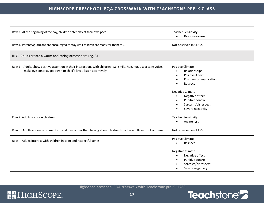| Row 3. At the beginning of the day, children enter play at their own pace.<br><b>Teacher Sensitivity</b><br>Responsiveness<br>$\bullet$                                               |                                                                                                                                                                                                                                                                                             |
|---------------------------------------------------------------------------------------------------------------------------------------------------------------------------------------|---------------------------------------------------------------------------------------------------------------------------------------------------------------------------------------------------------------------------------------------------------------------------------------------|
| Row 4. Parents/guardians are encouraged to stay until children are ready for them to<br>Not observed in CLASS                                                                         |                                                                                                                                                                                                                                                                                             |
| III-C. Adults create a warm and caring atmosphere (pg. 31)                                                                                                                            |                                                                                                                                                                                                                                                                                             |
| Row 1. Adults show positive attention in their interactions with children (e.g. smile, hug, not, use a calm voice,<br>make eye contact, get down to child's level, listen attentively | Positive Climate<br>Relationships<br>$\bullet$<br><b>Positive Affect</b><br>$\bullet$<br>Positive communication<br>$\bullet$<br>Respect<br><b>Negative Climate</b><br>Negative affect<br>$\bullet$<br>Punitive control<br>$\bullet$<br>Sarcasm/disrespect<br>$\bullet$<br>Severe negativity |
| Row 2. Adults focus on children                                                                                                                                                       | <b>Teacher Sensitivity</b><br>Awareness<br>$\bullet$                                                                                                                                                                                                                                        |
| Row 3. Adults address comments to children rather than talking about children to other adults in front of them.                                                                       | Not observed in CLASS                                                                                                                                                                                                                                                                       |
| Row 4. Adults interact with children in calm and respectful tones.                                                                                                                    | <b>Positive Climate</b><br>Respect                                                                                                                                                                                                                                                          |
|                                                                                                                                                                                       | <b>Negative Climate</b><br>Negative affect<br>$\bullet$<br>Punitive control<br>$\bullet$<br>Sarcasm/disrespect<br>Severe negativity                                                                                                                                                         |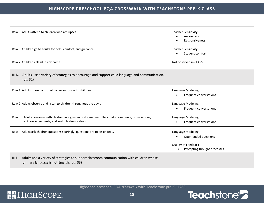| Row 5. Adults attend to children who are upset.                                                                                                   | <b>Teacher Sensitivity</b><br>Awareness<br>Responsiveness                                                    |
|---------------------------------------------------------------------------------------------------------------------------------------------------|--------------------------------------------------------------------------------------------------------------|
| Row 6. Children go to adults for help, comfort, and guidance.                                                                                     | <b>Teacher Sensitivity</b><br>Student comfort                                                                |
| Row 7. Children call adults by name                                                                                                               | Not observed in CLASS                                                                                        |
| III-D. Adults use a variety of strategies to encourage and support child language and communication.<br>(pg. 32)                                  |                                                                                                              |
| Row 1. Adults share control of conversations with children                                                                                        | Language Modeling<br>Frequent conversations                                                                  |
| Row 2. Adults observe and listen to children throughout the day                                                                                   | Language Modeling<br>Frequent conversations<br>$\bullet$                                                     |
| Row 3. Adults converse with children in a give-and-take manner. They make comments, observations,<br>acknowledgements, and seek children's ideas. | Language Modeling<br>Frequent conversations                                                                  |
| Row 4. Adults ask children questions sparingly; questions are open-ended                                                                          | Language Modeling<br>Open-ended questions<br>Quality of Feedback<br>Prompting thought processes<br>$\bullet$ |
| III-E. Adults use a variety of strategies to support classroom communication with children whose<br>primary language is not English. (pg. 33)     |                                                                                                              |

# **RE** HIGHSCOPE.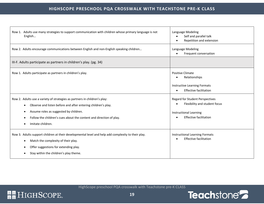| Row 1. Adults use many strategies to support communication with children whose primary language is not<br>English                                                                                                                                                                | Language Modeling<br>Self and parallel talk<br>Repetition and extension                                                                   |
|----------------------------------------------------------------------------------------------------------------------------------------------------------------------------------------------------------------------------------------------------------------------------------|-------------------------------------------------------------------------------------------------------------------------------------------|
| Row 2. Adults encourage communications between English and non-English speaking children                                                                                                                                                                                         | Language Modeling<br>Frequent conversation                                                                                                |
| III-F. Adults participate as partners in children's play. (pg. 34)                                                                                                                                                                                                               |                                                                                                                                           |
| Row 1. Adults participate as partners in children's play.                                                                                                                                                                                                                        | <b>Positive Climate</b><br>Relationships<br>Instructive Learning Formats<br><b>Effective facilitation</b><br>$\bullet$                    |
| Row 2. Adults use a variety of strategies as partners in children's play:<br>Observe and listen before and after entering children's play.<br>Assume roles as suggested by children.<br>Follow the children's cues about the content and direction of play.<br>Imitate children. | <b>Regard for Student Perspectives</b><br>Flexibility and student focus<br><b>Instructional Learning</b><br><b>Effective facilitation</b> |
| Row 3. Adults support children at their developmental level and help add complexity to their play.<br>Match the complexity of their play.<br>Offer suggestions for extending play.<br>Stay within the children's play theme.                                                     | <b>Instructional Learning Formats</b><br><b>Effective facilitation</b>                                                                    |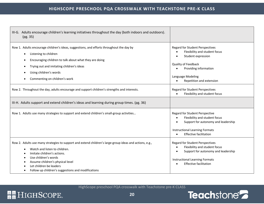| III-G. Adults encourage children's learning initiatives throughout the day (both indoors and outdoors).<br>(pg. 35)                                                                                                                                                                                                                                                                             |                                                                                                                                                                                                                                                                                        |
|-------------------------------------------------------------------------------------------------------------------------------------------------------------------------------------------------------------------------------------------------------------------------------------------------------------------------------------------------------------------------------------------------|----------------------------------------------------------------------------------------------------------------------------------------------------------------------------------------------------------------------------------------------------------------------------------------|
| Row 1. Adults encourage children's ideas, suggestions, and efforts throughout the day by<br>Listening to children<br>$\bullet$<br>Encouraging children to talk about what they are doing<br>Trying out and imitating children's ideas<br>Using children's words<br>Commenting on children's work<br>Row 2. Throughout the day, adults encourage and support children's strengths and interests. | <b>Regard for Student Perspectives</b><br>Flexibility and student focus<br>Student expression<br>Quality of Feedback<br>Providing information<br>Language Modeling<br>Repetition and extension<br><b>Regard for Student Perspectives</b><br>Flexibility and student focus<br>$\bullet$ |
| III-H. Adults support and extend children's ideas and learning during group times. (pg. 36)                                                                                                                                                                                                                                                                                                     |                                                                                                                                                                                                                                                                                        |
| Row 1. Adults use many strategies to support and extend children's small-group activities                                                                                                                                                                                                                                                                                                       | Regard for Student Perspective<br>Flexibility and student focus<br>$\bullet$<br>Support for autonomy and leadership<br><b>Instructional Learning Formats</b><br><b>Effective facilitation</b><br>$\bullet$                                                                             |
| Row 2. Adults use many strategies to support and extend children's large-group ideas and actions, e.g.,<br>Watch and listen to children.<br>Imitate children's actions.<br>Use children's words<br>Assume children's physical level<br>Let children be leaders<br>Follow up children's suggestions and modifications                                                                            | <b>Regard for Student Perspectives</b><br>Flexibility and student focus<br>$\bullet$<br>Support for autonomy and leadership<br><b>Instructional Learning Formats</b><br><b>Effective facilitation</b><br>$\bullet$                                                                     |

# **RE** HIGHSCOPE.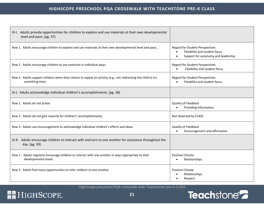| III-I. Adults provide opportunities for children to explore and use materials at their own developmental<br>level and pace. (pg. 37) |                                                                                                                                          |
|--------------------------------------------------------------------------------------------------------------------------------------|------------------------------------------------------------------------------------------------------------------------------------------|
| Row 1. Adults encourage children to explore and use materials at their own developmental level and pace                              | <b>Regard for Student Perspectives</b><br>Flexibility and student focus<br>$\bullet$<br>Support for autonomy and leadership<br>$\bullet$ |
| Row 2. Adults encourage children to use materials in individual ways.                                                                | <b>Regard for Student Perspectives</b><br>Flexibility and student focus<br>$\bullet$                                                     |
| Row 3. Adults support children when they choose to repeat an activity (e.g., not redirecting the child to try<br>something else).    | <b>Regard for Student Perspectives</b><br>Flexibility and student focus                                                                  |
| III-J. Adults acknowledge individual children's accomplishments. (pg. 38)                                                            |                                                                                                                                          |
| Row 1. Adults do not praise.                                                                                                         | Quality of Feedback<br>Providing Information                                                                                             |
| Row 2. Adults do not give rewards for children's accomplishments.                                                                    | Not observed by CLASS                                                                                                                    |
| Row 3. Adults use encouragement to acknowledge individual children's efforts and ideas.                                              | Quality of Feedback<br>Encouragement and affirmation<br>$\bullet$                                                                        |
| III-K. Adults encourage children to interact with and turn to one another for assistance throughout the<br>day. (pg. 39)             |                                                                                                                                          |
| Row 1. Adults regularly encourage children to interact with one another in ways appropriate to their<br>developmental levels.        | <b>Positive Climate</b><br>Relationships                                                                                                 |
| Row 2. Adults find many opportunities to refer children to one another                                                               | <b>Positive Climate</b><br>Relationships<br>Respect                                                                                      |

# **RE** HIGHSCOPE.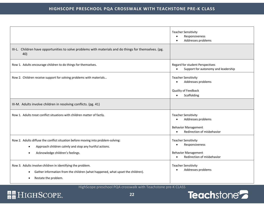|                                                                                                                                                                                | <b>Teacher Sensitivity</b><br>Responsiveness<br>Addresses problems                                                    |
|--------------------------------------------------------------------------------------------------------------------------------------------------------------------------------|-----------------------------------------------------------------------------------------------------------------------|
| III-L. Children have opportunities to solve problems with materials and do things for themselves. (pg.<br>40)                                                                  |                                                                                                                       |
| Row 1. Adults encourage children to do things for themselves.                                                                                                                  | Regard for student Perspectives<br>Support for autonomy and leadership                                                |
| Row 2. Children receive support for solving problems with materials                                                                                                            | <b>Teacher Sensitivity</b><br>Addresses problems<br>Quality of Feedback<br>Scaffolding<br>$\bullet$                   |
| III-M. Adults involve children in resolving conflicts. (pg. 41)                                                                                                                |                                                                                                                       |
| Row 1. Adults treat conflict situations with children matter of factly.                                                                                                        | <b>Teacher Sensitivity</b><br>Addresses problems<br><b>Behavior Management</b><br>Redirection of misbehavior          |
| Row 2. Adults diffuse the conflict situation before moving into problem-solving:<br>Approach children calmly and stop any hurtful actions.<br>Acknowledge children's feelings. | <b>Teacher Sensitivity</b><br>Responsiveness<br><b>Behavior Management</b><br>Redirection of misbehavior<br>$\bullet$ |
| Row 3. Adults involve children in identifying the problem.<br>Gather information from the children (what happened, what upset the children).<br>Restate the problem.<br>٠      | <b>Teacher Sensitivity</b><br>Addresses problems                                                                      |

# Teachstone<sup>2</sup>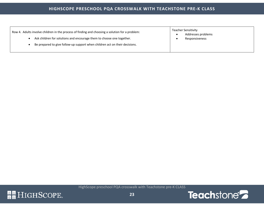#### **HIGHSCOPE PRESCHOOL PQA CROSSWALK WITH TEACHSTONE PRE-K CLASS**

| Row 4. Adults involve children in the process of finding and choosing a solution for a problem: | Teacher Sensitivity<br>Addresses problems |
|-------------------------------------------------------------------------------------------------|-------------------------------------------|
| Ask children for solutions and encourage them to choose one together.                           | Responsiveness                            |
| Be prepared to give follow-up support when children act on their decisions.                     |                                           |

![](_page_23_Picture_3.jpeg)

![](_page_23_Picture_5.jpeg)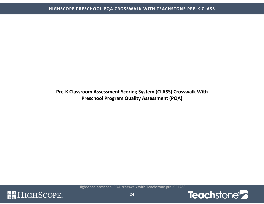**Pre-K Classroom Assessment Scoring System (CLASS) Crosswalk With Preschool Program Quality Assessment (PQA)** 

![](_page_24_Picture_3.jpeg)

![](_page_24_Picture_4.jpeg)

<span id="page-24-0"></span>![](_page_24_Picture_5.jpeg)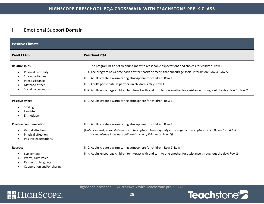### <span id="page-25-0"></span>I. Emotional Support Domain

| <b>Positive Climate</b>                                                                                                     |                                                                                                                                                                                                                                                                                                                                                                                                                                                                                         |
|-----------------------------------------------------------------------------------------------------------------------------|-----------------------------------------------------------------------------------------------------------------------------------------------------------------------------------------------------------------------------------------------------------------------------------------------------------------------------------------------------------------------------------------------------------------------------------------------------------------------------------------|
| <b>Pre-K CLASS</b>                                                                                                          | <b>Preschool PQA</b>                                                                                                                                                                                                                                                                                                                                                                                                                                                                    |
| <b>Relationships</b><br>Physical proximity<br>Shared activities<br>Peer assistance<br>Matched affect<br>Social conversation | II-J. The program has a set cleanup time with reasonable expectations and choices for children: Row 2<br>II-K. The program has a time each day for snacks or meals that encourage social interaction: Row 4, Row 5<br>III-C. Adults create a warm caring atmosphere for children: Row 1<br>III-F. Adults participate as partners in children's play: Row 1<br>III-K. Adults encourage children to interact with and turn to one another for assistance throughout the day: Row 1, Row 2 |
| <b>Positive affect</b><br>Smiling<br>Laughter<br>Enthusiasm                                                                 | III-C. Adults create a warm caring atmosphere for children: Row 1                                                                                                                                                                                                                                                                                                                                                                                                                       |
| <b>Positive communication</b><br>Verbal affection<br>Physical affection<br>Positive expectations                            | III-C. Adults create a warm caring atmosphere for children: Row 1<br>(Note: General praise statements to be captured here - quality encouragement is captured in QFB [see III-J. Adults<br>acknowledge individual children's accomplishments. Row 1])                                                                                                                                                                                                                                   |
| Respect<br>Eye contact<br>Warm, calm voice<br>Respectful language<br>Cooperation and/or sharing                             | III-C. Adults create a warm caring atmosphere for children: Row 1, Row 4<br>III-K. Adults encourage children to interact with and turn to one another for assistance throughout the day: Row 2                                                                                                                                                                                                                                                                                          |

![](_page_25_Picture_5.jpeg)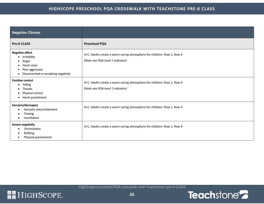#### **HIGHSCOPE PRESCHOOL PQA CROSSWALK WITH TEACHSTONE PRE-K CLASS**

| <b>Negative Climate</b>                                                                                                      |                                                                                                              |
|------------------------------------------------------------------------------------------------------------------------------|--------------------------------------------------------------------------------------------------------------|
| <b>Pre-K CLASS</b>                                                                                                           | <b>Preschool PQA</b>                                                                                         |
| <b>Negative affect</b><br>• Irritability<br>Anger<br>Harsh voice<br>Peer aggression<br>Disconnected or escalating negativity | III-C. Adults create a warm caring atmosphere for children: Row 1, Row 4<br>(Note-see PQA level 1 indicator) |
| <b>Punitive control</b><br>Yelling<br>Threats<br>Physical control<br>Harsh punishment                                        | III-C. Adults create a warm caring atmosphere for children: Row 1, Row 4<br>(Note-see PQA level 1 indicator) |
| Sarcasm/disrespect<br>Sarcastic voice/statement<br>Teasing<br>Humiliation                                                    | III-C. Adults create a warm caring atmosphere for children: Row 1, Row 4                                     |
| Severe negativity<br>Victimization<br><b>Bullying</b><br>Physical punishments                                                | III-C. Adults create a warm caring atmosphere for children: Row 1, Row 4                                     |

![](_page_26_Picture_5.jpeg)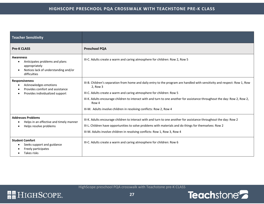| <b>Teacher Sensitivity</b>                                                                                                               |                                                                                                                                                                                                                                                                                                                                                                                                                               |
|------------------------------------------------------------------------------------------------------------------------------------------|-------------------------------------------------------------------------------------------------------------------------------------------------------------------------------------------------------------------------------------------------------------------------------------------------------------------------------------------------------------------------------------------------------------------------------|
| <b>Pre-K CLASS</b>                                                                                                                       | <b>Preschool PQA</b>                                                                                                                                                                                                                                                                                                                                                                                                          |
| <b>Awareness</b><br>Anticipates problems and plans<br>appropriately<br>Notices lack of understanding and/or<br>$\bullet$<br>difficulties | III-C. Adults create a warm and caring atmosphere for children: Row 2, Row 5                                                                                                                                                                                                                                                                                                                                                  |
| <b>Responsiveness</b><br>Acknowledges emotions<br>Provides comfort and assistance<br>Provides individualized support                     | III-B. Children's separation from home and daily entry to the program are handled with sensitivity and respect: Row 1, Row<br>2, Row 3<br>III-C. Adults create a warm and caring atmosphere for children: Row 5<br>III-K. Adults encourage children to interact with and turn to one another for assistance throughout the day: Row 2, Row 2,<br>Row 4<br>III-M. Adults involve children in resolving conflicts: Row 2, Row 4 |
| <b>Addresses Problems</b><br>Helps in an effective and timely manner<br>Helps resolve problems                                           | III-K. Adults encourage children to interact with and turn to one another for assistance throughout the day: Row 2<br>III-L. Children have opportunities to solve problems with materials and do things for themselves: Row 2<br>III-M. Adults involve children in resolving conflicts: Row 1, Row 3, Row 4                                                                                                                   |
| <b>Student Comfort</b><br>Seeks support and guidance<br>Freely participates<br>Takes risks                                               | III-C. Adults create a warm and caring atmosphere for children: Row 6                                                                                                                                                                                                                                                                                                                                                         |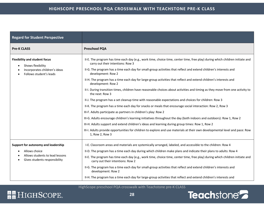| <b>Regard for Student Perspective</b>                                                                                 |                                                                                                                                                                    |
|-----------------------------------------------------------------------------------------------------------------------|--------------------------------------------------------------------------------------------------------------------------------------------------------------------|
| <b>Pre-K CLASS</b>                                                                                                    | <b>Preschool PQA</b>                                                                                                                                               |
| <b>Flexibility and student focus</b><br>Shows flexibility<br>Incorporates children's ideas<br>Follows student's leads | II-E. The program has time each day (e.g., work time, choice time, center time, free play) during which children initiate and<br>carry out their intentions: Row 3 |
|                                                                                                                       | II-G. The program has a time each day for small-group activities that reflect and extend children's interests and<br>development: Row 2                            |
|                                                                                                                       | II-H. The program has a time each day for large-group activities that reflect and extend children's interests and<br>development: Row 2                            |
|                                                                                                                       | II-I. During transition times, children have reasonable choices about activities and timing as they move from one activity to<br>the next: Row 3                   |
|                                                                                                                       | II-J. The program has a set cleanup time with reasonable expectations and choices for children: Row 3                                                              |
|                                                                                                                       | II-K. The program has a time each day for snacks or meals that encourage social interaction: Row 2, Row 3                                                          |
|                                                                                                                       | III-F. Adults participate as partners in children's play: Row 2                                                                                                    |
|                                                                                                                       | III-G. Adults encourage children's learning initiatives throughout the day (both indoors and outdoors): Row 1, Row 2                                               |
|                                                                                                                       | III-H. Adults support and extend children's ideas and learning during group times: Row 1, Row 2                                                                    |
|                                                                                                                       | III-I. Adults provide opportunities for children to explore and use materials at their own developmental level and pace: Row<br>1, Row 2, Row 3                    |
| Support for autonomy and leadership                                                                                   | I-E. Classroom areas and materials are systemically arranged, labeled, and accessible to the children: Row 4                                                       |
| Allows choice<br>Allows students to lead lessons<br>Gives students responsibility                                     | II-D. The program has a time each day during which children make plans and indicate their plans to adults: Row 4                                                   |
|                                                                                                                       | II-E. The program has time each day (e.g., work time, choice time, center time, free play) during which children initiate and<br>carry out their intentions: Row 2 |
|                                                                                                                       | II-G. The program has a time each day for small-group activities that reflect and extend children's interests and<br>development: Row 2                            |
|                                                                                                                       | II-H. The program has a time each day for large-group activities that reflect and extend children's interests and                                                  |

# **RE** HIGHSCOPE.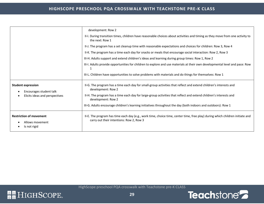|                                                                                        | development: Row 2<br>II-I. During transition times, children have reasonable choices about activities and timing as they move from one activity to<br>the next: Row 1<br>II-J. The program has a set cleanup time with reasonable expectations and choices for children: Row 3, Row 4<br>II-K. The program has a time each day for snacks or meals that encourage social interaction: Row 2, Row 3<br>III-H. Adults support and extend children's ideas and learning during group times: Row 1, Row 2<br>III-I. Adults provide opportunities for children to explore and use materials at their own developmental level and pace: Row<br>1 |
|----------------------------------------------------------------------------------------|---------------------------------------------------------------------------------------------------------------------------------------------------------------------------------------------------------------------------------------------------------------------------------------------------------------------------------------------------------------------------------------------------------------------------------------------------------------------------------------------------------------------------------------------------------------------------------------------------------------------------------------------|
|                                                                                        | III-L. Children have opportunities to solve problems with materials and do things for themselves: Row 1                                                                                                                                                                                                                                                                                                                                                                                                                                                                                                                                     |
| <b>Student expression</b><br>Encourages student talk<br>Elicits ideas and perspectives | II-G. The program has a time each day for small-group activities that reflect and extend children's interests and<br>development: Row 2<br>II-H. The program has a time each day for large-group activities that reflect and extend children's interests and<br>development: Row 2                                                                                                                                                                                                                                                                                                                                                          |
|                                                                                        | III-G. Adults encourage children's learning initiatives throughout the day (both indoors and outdoors): Row 1                                                                                                                                                                                                                                                                                                                                                                                                                                                                                                                               |
| <b>Restriction of movement</b><br>Allows movement<br>Is not rigid                      | II-E. The program has time each day (e.g., work time, choice time, center time, free play) during which children initiate and<br>carry out their intentions: Row 2, Row 3                                                                                                                                                                                                                                                                                                                                                                                                                                                                   |

![](_page_29_Picture_5.jpeg)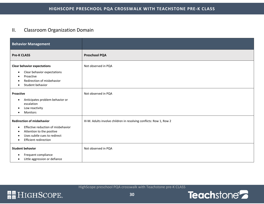### <span id="page-30-0"></span>II. Classroom Organization Domain

| <b>Behavior Management</b>                                                                                                                                                        |                                                                     |
|-----------------------------------------------------------------------------------------------------------------------------------------------------------------------------------|---------------------------------------------------------------------|
| <b>Pre-K CLASS</b>                                                                                                                                                                | <b>Preschool PQA</b>                                                |
| <b>Clear behavior expectations</b><br>Clear behavior expectations<br>٠<br>Proactive<br>Redirection of misbehavior<br>Student behavior                                             | Not observed in PQA                                                 |
| Proactive<br>Anticipates problem behavior or<br>$\bullet$<br>escalation<br>Low reactivity<br>Monitors<br>$\bullet$                                                                | Not observed in PQA                                                 |
| <b>Redirection of misbehavior</b><br>Effective reduction of misbehavior<br>$\bullet$<br>Attention to the positive<br>Uses subtle cues to redirect<br><b>Efficient redirection</b> | III-M. Adults involve children in resolving conflicts: Row 1, Row 2 |
| <b>Student behavior</b><br>Frequent compliance<br>Little aggression or defiance                                                                                                   | Not observed in PQA                                                 |

![](_page_30_Picture_4.jpeg)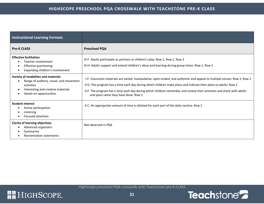| <b>Instructional Learning Formats</b>                                                                                                                        |                                                                                                                                                                                                                                                                                                                                                                                                                |
|--------------------------------------------------------------------------------------------------------------------------------------------------------------|----------------------------------------------------------------------------------------------------------------------------------------------------------------------------------------------------------------------------------------------------------------------------------------------------------------------------------------------------------------------------------------------------------------|
| <b>Pre-K CLASS</b>                                                                                                                                           | <b>Preschool PQA</b>                                                                                                                                                                                                                                                                                                                                                                                           |
| <b>Effective facilitation</b><br>Teacher involvement<br><b>Effective questioning</b><br>Expanding children's involvement                                     | III-F. Adults participate as partners in children's play: Row 1, Row 2, Row 3<br>III-H. Adults support and extend children's ideas and learning during group times: Row 1, Row 2                                                                                                                                                                                                                               |
| Variety of modalities and materials<br>Range of auditory, visual, and movement<br>activities<br>Interesting and creative materials<br>Hands-on opportunities | I-F. Classroom materials are varied, manipulative, open-ended, and authentic and appeal to multiple senses: Row 1, Row 2<br>II-D. The program has a time each day during which children make plans and indicate their plans to adults: Row 2<br>II-F. The program has a time each day during which children remember and review their activities and share with adults<br>and peers what they have done: Row 2 |
| <b>Student interest</b><br>Active participation<br>Listening<br>Focused attention                                                                            | II-C. An appropriate amount of time is allotted for each part of the daily routine: Row 2                                                                                                                                                                                                                                                                                                                      |
| <b>Clarity of learning objectives</b><br>Advanced organizers<br>Summaries<br><b>Reorientation statements</b>                                                 | Not observed in PQA                                                                                                                                                                                                                                                                                                                                                                                            |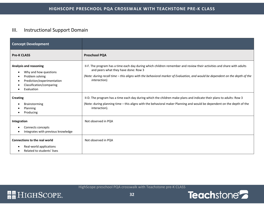### <span id="page-32-0"></span>III. Instructional Support Domain

| <b>Concept Development</b>                                                                                                                                                       |                                                                                                                                                                                                                                                                                                                 |
|----------------------------------------------------------------------------------------------------------------------------------------------------------------------------------|-----------------------------------------------------------------------------------------------------------------------------------------------------------------------------------------------------------------------------------------------------------------------------------------------------------------|
| <b>Pre-K CLASS</b>                                                                                                                                                               | <b>Preschool PQA</b>                                                                                                                                                                                                                                                                                            |
| <b>Analysis and reasoning</b><br>Why and how questions<br>-<br>Problem solving<br>$\bullet$<br>Prediction/experimentation<br>$\bullet$<br>Classification/comparing<br>Evaluation | II-F. The program has a time each day during which children remember and review their activities and share with adults<br>and peers what they have done: Row 3<br>(Note: during recall time - this aligns with the behavioral marker of Evaluation, and would be dependent on the depth of the<br>interaction). |
| <b>Creating</b><br>Brainstorming<br>Planning<br>Producing                                                                                                                        | II-D. The program has a time each day during which the children make plans and indicate their plans to adults: Row 3<br>(Note: during planning time - this aligns with the behavioral maker Planning and would be dependent on the depth of the<br>interaction).                                                |
| Integration<br>Connects concepts<br>Integrates with previous knowledge<br>$\bullet$                                                                                              | Not observed in PQA                                                                                                                                                                                                                                                                                             |
| <b>Connections to the real world</b><br>Real-world applications<br>Related to students' lives                                                                                    | Not observed in PQA                                                                                                                                                                                                                                                                                             |

![](_page_32_Picture_6.jpeg)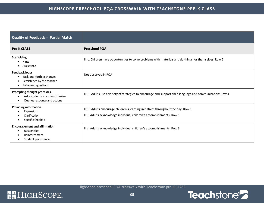| <b>Quality of Feedback = Partial Match</b>                                                                    |                                                                                                                                                             |
|---------------------------------------------------------------------------------------------------------------|-------------------------------------------------------------------------------------------------------------------------------------------------------------|
| <b>Pre-K CLASS</b>                                                                                            | <b>Preschool PQA</b>                                                                                                                                        |
| <b>Scaffolding</b><br>$\bullet$ Hints<br>Assistance                                                           | III-L. Children have opportunities to solve problems with materials and do things for themselves: Row 2                                                     |
| <b>Feedback loops</b><br>Back-and-forth exchanges<br>Persistence by the teacher<br>Follow-up questions        | Not observed in PQA                                                                                                                                         |
| Prompting thought processes<br>Asks students to explain thinking<br>Queries response and actions              | III-D. Adults use a variety of strategies to encourage and support child language and communication: Row 4                                                  |
| <b>Providing information</b><br>Expansion<br>Clarification<br>Specific feedback                               | III-G. Adults encourage children's learning initiatives throughout the day: Row 1<br>III-J. Adults acknowledge individual children's accomplishments: Row 1 |
| <b>Encouragement and affirmation</b><br>Recognition<br>Reinforcement<br>-<br>Student persistence<br>$\bullet$ | III-J. Adults acknowledge individual children's accomplishments: Row 3                                                                                      |

![](_page_33_Picture_5.jpeg)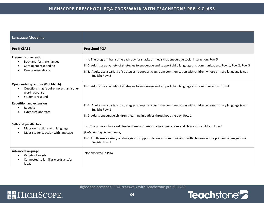| <b>Language Modeling</b>                                                                                                 |                                                                                                                                                                                                                                                                                                                                                                               |
|--------------------------------------------------------------------------------------------------------------------------|-------------------------------------------------------------------------------------------------------------------------------------------------------------------------------------------------------------------------------------------------------------------------------------------------------------------------------------------------------------------------------|
| <b>Pre-K CLASS</b>                                                                                                       | <b>Preschool PQA</b>                                                                                                                                                                                                                                                                                                                                                          |
| <b>Frequent conversation</b><br>Back-and-forth exchanges<br>Contingent responding<br>Peer conversations                  | II-K. The program has a time each day for snacks or meals that encourage social interaction: Row 5<br>III-D. Adults use a variety of strategies to encourage and support child language and communication.: Row 1, Row 2, Row 3<br>III-E. Adults use a variety of strategies to support classroom communication with children whose primary language is not<br>English: Row 2 |
| <b>Open-ended questions (Full Match)</b><br>Questions that require more than a one-<br>word response<br>Students respond | III-D. Adults use a variety of strategies to encourage and support child language and communication: Row 4                                                                                                                                                                                                                                                                    |
| <b>Repetition and extension</b><br>Repeats<br>Extends/elaborates                                                         | III-E. Adults use a variety of strategies to support classroom communication with children whose primary language is not<br>English: Row 1<br>III-G. Adults encourage children's learning initiatives throughout the day: Row 1                                                                                                                                               |
| Self- and parallel talk<br>Maps own actions with language<br>Maps students action with language                          | II-J. The program has a set cleanup time with reasonable expectations and choices for children: Row 3<br>(Note: during cleanup time)<br>III-E. Adults use a variety of strategies to support classroom communication with children whose primary language is not<br>English: Row 1                                                                                            |
| <b>Advanced language</b><br>Variety of words<br>Connected to familiar words and/or<br>ideas                              | Not observed in PQA                                                                                                                                                                                                                                                                                                                                                           |

![](_page_34_Picture_5.jpeg)